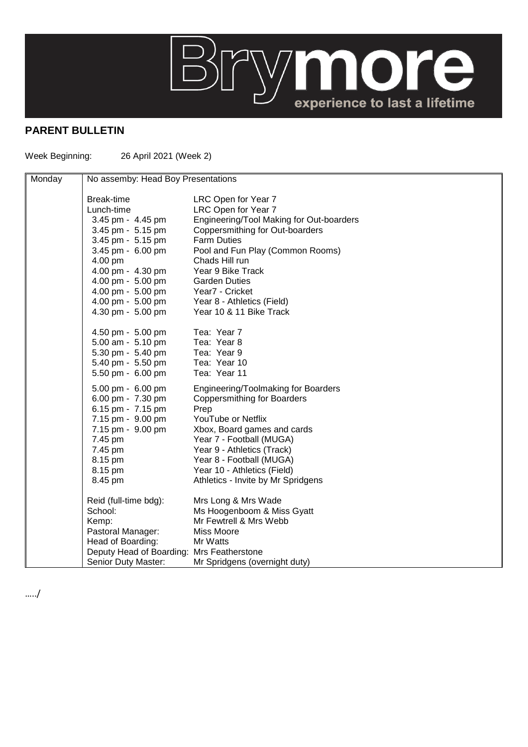

## **PARENT BULLETIN**

Week Beginning: 26 April 2021 (Week 2)

| Monday | No assemby: Head Boy Presentations        |                                          |
|--------|-------------------------------------------|------------------------------------------|
|        | Break-time                                | LRC Open for Year 7                      |
|        | Lunch-time                                | LRC Open for Year 7                      |
|        | 3.45 pm - 4.45 pm                         | Engineering/Tool Making for Out-boarders |
|        | 3.45 pm - 5.15 pm                         | Coppersmithing for Out-boarders          |
|        | 3.45 pm - 5.15 pm                         | <b>Farm Duties</b>                       |
|        | 3.45 pm - 6.00 pm                         | Pool and Fun Play (Common Rooms)         |
|        | 4.00 pm                                   | Chads Hill run                           |
|        | 4.00 pm - 4.30 pm                         | Year 9 Bike Track                        |
|        | 4.00 pm - 5.00 pm                         | <b>Garden Duties</b>                     |
|        | 4.00 pm - 5.00 pm                         | Year7 - Cricket                          |
|        | 4.00 pm - 5.00 pm                         | Year 8 - Athletics (Field)               |
|        | 4.30 pm - 5.00 pm                         | Year 10 & 11 Bike Track                  |
|        | 4.50 pm - 5.00 pm                         | Tea: Year 7                              |
|        | 5.00 am - 5.10 pm                         | Tea: Year 8                              |
|        | 5.30 pm - 5.40 pm                         | Tea: Year 9                              |
|        | 5.40 pm - 5.50 pm                         | Tea: Year 10                             |
|        | 5.50 pm - 6.00 pm                         | Tea: Year 11                             |
|        | 5.00 pm - 6.00 pm                         | Engineering/Toolmaking for Boarders      |
|        | 6.00 pm - 7.30 pm                         | <b>Coppersmithing for Boarders</b>       |
|        | 6.15 pm - 7.15 pm                         | Prep                                     |
|        | 7.15 pm - 9.00 pm                         | YouTube or Netflix                       |
|        | 7.15 pm - 9.00 pm                         | Xbox, Board games and cards              |
|        | 7.45 pm                                   | Year 7 - Football (MUGA)                 |
|        | 7.45 pm                                   | Year 9 - Athletics (Track)               |
|        | 8.15 pm                                   | Year 8 - Football (MUGA)                 |
|        | 8.15 pm                                   | Year 10 - Athletics (Field)              |
|        | 8.45 pm                                   | Athletics - Invite by Mr Spridgens       |
|        | Reid (full-time bdg):                     | Mrs Long & Mrs Wade                      |
|        | School:                                   | Ms Hoogenboom & Miss Gyatt               |
|        | Kemp:                                     | Mr Fewtrell & Mrs Webb                   |
|        | Pastoral Manager:                         | Miss Moore                               |
|        | Head of Boarding:                         | Mr Watts                                 |
|        | Deputy Head of Boarding: Mrs Featherstone |                                          |
|        | Senior Duty Master:                       | Mr Spridgens (overnight duty)            |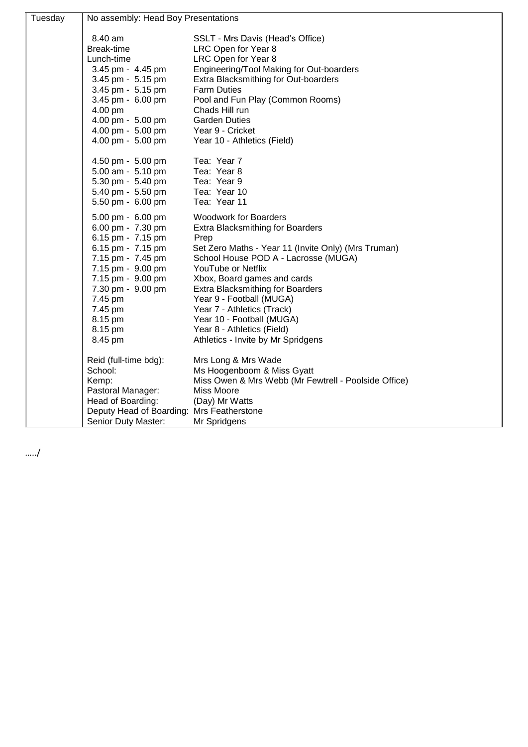| Tuesday | No assembly: Head Boy Presentations       |                                                         |  |
|---------|-------------------------------------------|---------------------------------------------------------|--|
|         | 8.40 am                                   |                                                         |  |
|         | Break-time                                | SSLT - Mrs Davis (Head's Office)<br>LRC Open for Year 8 |  |
|         | Lunch-time                                | LRC Open for Year 8                                     |  |
|         | 3.45 pm - 4.45 pm                         | Engineering/Tool Making for Out-boarders                |  |
|         | 3.45 pm - 5.15 pm                         | Extra Blacksmithing for Out-boarders                    |  |
|         | 3.45 pm - 5.15 pm                         | <b>Farm Duties</b>                                      |  |
|         | 3.45 pm - 6.00 pm                         | Pool and Fun Play (Common Rooms)                        |  |
|         | 4.00 pm                                   | Chads Hill run                                          |  |
|         | 4.00 pm - 5.00 pm                         | <b>Garden Duties</b>                                    |  |
|         | 4.00 pm - 5.00 pm                         | Year 9 - Cricket                                        |  |
|         | 4.00 pm - 5.00 pm                         | Year 10 - Athletics (Field)                             |  |
|         |                                           |                                                         |  |
|         | 4.50 pm - 5.00 pm                         | Tea: Year 7                                             |  |
|         | 5.00 am - 5.10 pm                         | Tea: Year 8                                             |  |
|         | 5.30 pm - 5.40 pm                         | Tea: Year 9                                             |  |
|         | 5.40 pm - 5.50 pm                         | Tea: Year 10                                            |  |
|         | 5.50 pm - 6.00 pm                         | Tea: Year 11                                            |  |
|         | 5.00 pm - 6.00 pm                         | <b>Woodwork for Boarders</b>                            |  |
|         | 6.00 pm - 7.30 pm                         | <b>Extra Blacksmithing for Boarders</b>                 |  |
|         | 6.15 pm - 7.15 pm                         | Prep                                                    |  |
|         | 6.15 pm - 7.15 pm                         | Set Zero Maths - Year 11 (Invite Only) (Mrs Truman)     |  |
|         | 7.15 pm - 7.45 pm                         | School House POD A - Lacrosse (MUGA)                    |  |
|         | 7.15 pm - 9.00 pm                         | YouTube or Netflix                                      |  |
|         | 7.15 pm - 9.00 pm                         | Xbox, Board games and cards                             |  |
|         | 7.30 pm - 9.00 pm                         | <b>Extra Blacksmithing for Boarders</b>                 |  |
|         | 7.45 pm                                   | Year 9 - Football (MUGA)                                |  |
|         | 7.45 pm                                   | Year 7 - Athletics (Track)                              |  |
|         | 8.15 pm                                   | Year 10 - Football (MUGA)                               |  |
|         | 8.15 pm                                   | Year 8 - Athletics (Field)                              |  |
|         | 8.45 pm                                   | Athletics - Invite by Mr Spridgens                      |  |
|         | Reid (full-time bdg):                     | Mrs Long & Mrs Wade                                     |  |
|         | School:                                   | Ms Hoogenboom & Miss Gyatt                              |  |
|         | Kemp:                                     | Miss Owen & Mrs Webb (Mr Fewtrell - Poolside Office)    |  |
|         | Pastoral Manager:                         | Miss Moore                                              |  |
|         | Head of Boarding:                         | (Day) Mr Watts                                          |  |
|         | Deputy Head of Boarding: Mrs Featherstone |                                                         |  |
|         | Senior Duty Master:                       | Mr Spridgens                                            |  |
|         |                                           |                                                         |  |

…../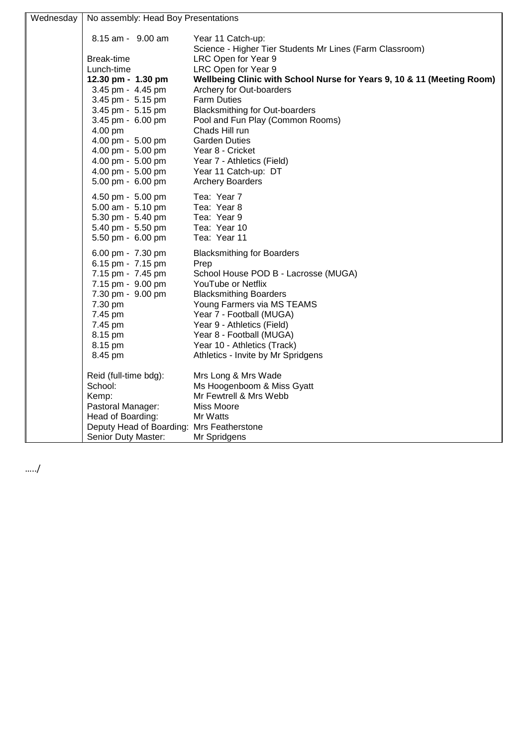| Wednesday | No assembly: Head Boy Presentations       |                                                                        |  |
|-----------|-------------------------------------------|------------------------------------------------------------------------|--|
|           | 8.15 am - 9.00 am                         | Year 11 Catch-up:                                                      |  |
|           |                                           | Science - Higher Tier Students Mr Lines (Farm Classroom)               |  |
|           | Break-time                                | LRC Open for Year 9                                                    |  |
|           | Lunch-time                                | LRC Open for Year 9                                                    |  |
|           | 12.30 pm - 1.30 pm                        | Wellbeing Clinic with School Nurse for Years 9, 10 & 11 (Meeting Room) |  |
|           | 3.45 pm - 4.45 pm                         | Archery for Out-boarders                                               |  |
|           | 3.45 pm - 5.15 pm                         | <b>Farm Duties</b>                                                     |  |
|           | 3.45 pm - 5.15 pm                         | <b>Blacksmithing for Out-boarders</b>                                  |  |
|           | 3.45 pm - 6.00 pm                         | Pool and Fun Play (Common Rooms)                                       |  |
|           | 4.00 pm                                   | Chads Hill run                                                         |  |
|           | 4.00 pm - 5.00 pm                         | <b>Garden Duties</b>                                                   |  |
|           | 4.00 pm - 5.00 pm                         | Year 8 - Cricket                                                       |  |
|           | 4.00 pm - 5.00 pm                         | Year 7 - Athletics (Field)                                             |  |
|           | 4.00 pm - 5.00 pm                         | Year 11 Catch-up: DT                                                   |  |
|           | 5.00 pm - 6.00 pm                         | <b>Archery Boarders</b>                                                |  |
|           | 4.50 pm - 5.00 pm                         | Tea: Year 7                                                            |  |
|           | 5.00 am - 5.10 pm                         | Tea: Year 8                                                            |  |
|           | 5.30 pm - 5.40 pm                         | Tea: Year 9                                                            |  |
|           | 5.40 pm - 5.50 pm                         | Tea: Year 10                                                           |  |
|           | 5.50 pm - 6.00 pm                         | Tea: Year 11                                                           |  |
|           | 6.00 pm - 7.30 pm                         | <b>Blacksmithing for Boarders</b>                                      |  |
|           | 6.15 pm - 7.15 pm                         | Prep                                                                   |  |
|           | 7.15 pm - 7.45 pm                         | School House POD B - Lacrosse (MUGA)                                   |  |
|           | 7.15 pm - 9.00 pm                         | YouTube or Netflix                                                     |  |
|           | 7.30 pm - 9.00 pm                         | <b>Blacksmithing Boarders</b>                                          |  |
|           | 7.30 pm                                   | Young Farmers via MS TEAMS                                             |  |
|           | 7.45 pm                                   | Year 7 - Football (MUGA)                                               |  |
|           | 7.45 pm                                   | Year 9 - Athletics (Field)                                             |  |
|           | 8.15 pm                                   | Year 8 - Football (MUGA)<br>Year 10 - Athletics (Track)                |  |
|           | 8.15 pm                                   | Athletics - Invite by Mr Spridgens                                     |  |
|           | 8.45 pm                                   |                                                                        |  |
|           | Reid (full-time bdg):                     | Mrs Long & Mrs Wade                                                    |  |
|           | School:                                   | Ms Hoogenboom & Miss Gyatt                                             |  |
|           | Kemp:                                     | Mr Fewtrell & Mrs Webb                                                 |  |
|           | Pastoral Manager:                         | Miss Moore                                                             |  |
|           | Head of Boarding:                         | Mr Watts                                                               |  |
|           | Deputy Head of Boarding: Mrs Featherstone |                                                                        |  |
|           | Senior Duty Master:                       | Mr Spridgens                                                           |  |

…../